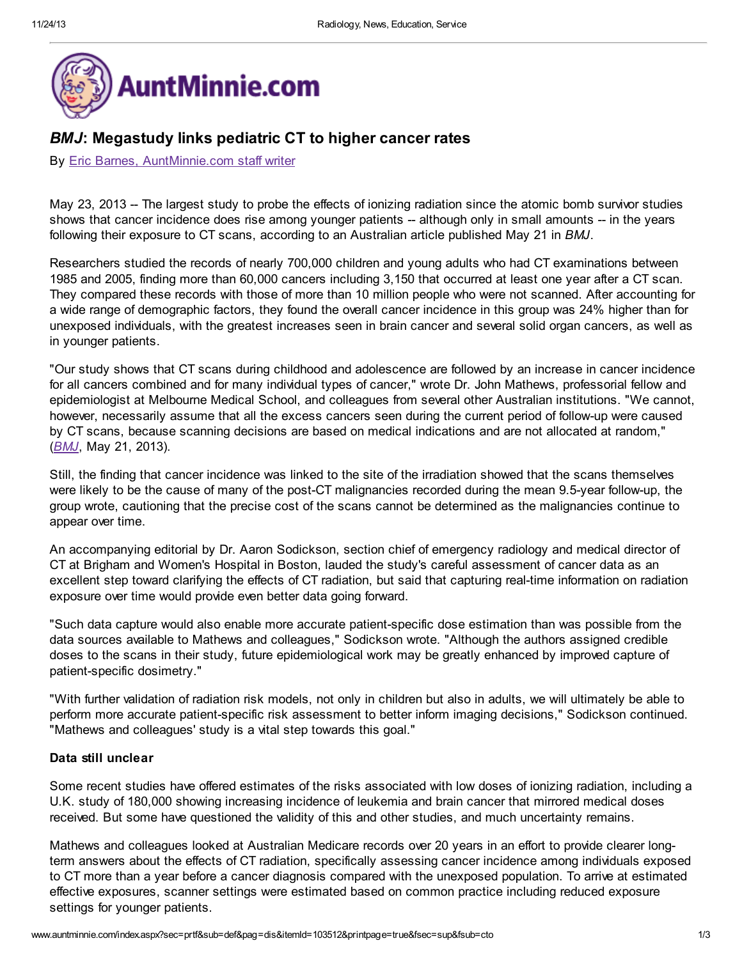

# BMJ: Megastudy links pediatric CT to higher cancer rates

#### By Eric Barnes, [AuntMinnie.com](http://contacteditor.auntminnie.com/) staff writer

May 23, 2013 -- The largest study to probe the effects of ionizing radiation since the atomic bomb survivor studies shows that cancer incidence does rise among younger patients -- although only in small amounts -- in the years following their exposure to CT scans, according to an Australian article published May 21 in BMJ.

Researchers studied the records of nearly 700,000 children and young adults who had CT examinations between 1985 and 2005, finding more than 60,000 cancers including 3,150 that occurred at least one year after a CT scan. They compared these records with those of more than 10 million people who were not scanned. After accounting for a wide range of demographic factors, they found the overall cancer incidence in this group was 24% higher than for unexposed individuals, with the greatest increases seen in brain cancer and several solid organ cancers, as well as in younger patients.

"Our study shows that CT scans during childhood and adolescence are followed by an increase in cancer incidence for all cancers combined and for many individual types of cancer," wrote Dr. John Mathews, professorial fellow and epidemiologist at Melbourne Medical School, and colleagues from several other Australian institutions. "We cannot, however, necessarily assume that all the excess cancers seen during the current period of follow-up were caused by CT scans, because scanning decisions are based on medical indications and are not allocated at random," ([BMJ](http://www.bmj.com/), May 21, 2013).

Still, the finding that cancer incidence was linked to the site of the irradiation showed that the scans themselves were likely to be the cause of many of the post-CT malignancies recorded during the mean 9.5-year follow-up, the group wrote, cautioning that the precise cost of the scans cannot be determined as the malignancies continue to appear over time.

An accompanying editorial by Dr. Aaron Sodickson, section chief of emergency radiology and medical director of CT at Brigham and Women's Hospital in Boston, lauded the study's careful assessment of cancer data as an excellent step toward clarifying the effects of CT radiation, but said that capturing real-time information on radiation exposure over time would provide even better data going forward.

"Such data capture would also enable more accurate patient-specific dose estimation than was possible from the data sources available to Mathews and colleagues," Sodickson wrote. "Although the authors assigned credible doses to the scans in their study, future epidemiological work may be greatly enhanced by improved capture of patient-specific dosimetry."

"With further validation of radiation risk models, not only in children but also in adults, we will ultimately be able to perform more accurate patient-specific risk assessment to better inform imaging decisions," Sodickson continued. "Mathews and colleagues' study is a vital step towards this goal."

#### Data still unclear

Some recent studies have offered estimates of the risks associated with low doses of ionizing radiation, including a U.K. study of 180,000 showing increasing incidence of leukemia and brain cancer that mirrored medical doses received. But some have questioned the validity of this and other studies, and much uncertainty remains.

Mathews and colleagues looked at Australian Medicare records over 20 years in an effort to provide clearer longterm answers about the effects of CT radiation, specifically assessing cancer incidence among individuals exposed to CT more than a year before a cancer diagnosis compared with the unexposed population. To arrive at estimated effective exposures, scanner settings were estimated based on common practice including reduced exposure settings for younger patients.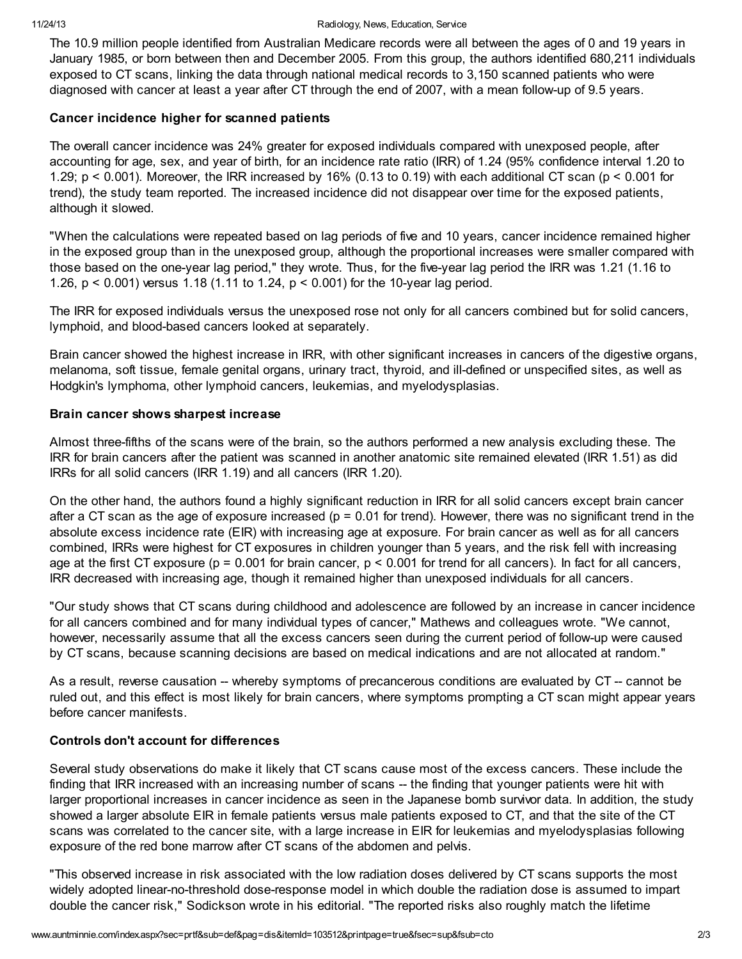The 10.9 million people identified from Australian Medicare records were all between the ages of 0 and 19 years in January 1985, or born between then and December 2005. From this group, the authors identified 680,211 individuals exposed to CT scans, linking the data through national medical records to 3,150 scanned patients who were diagnosed with cancer at least a year after CT through the end of 2007, with a mean follow-up of 9.5 years.

### Cancer incidence higher for scanned patients

The overall cancer incidence was 24% greater for exposed individuals compared with unexposed people, after accounting for age, sex, and year of birth, for an incidence rate ratio (IRR) of 1.24 (95% confidence interval 1.20 to 1.29; p < 0.001). Moreover, the IRR increased by 16% (0.13 to 0.19) with each additional CT scan (p < 0.001 for trend), the study team reported. The increased incidence did not disappear over time for the exposed patients, although it slowed.

"When the calculations were repeated based on lag periods of five and 10 years, cancer incidence remained higher in the exposed group than in the unexposed group, although the proportional increases were smaller compared with those based on the one-year lag period," they wrote. Thus, for the five-year lag period the IRR was 1.21 (1.16 to 1.26, p < 0.001) versus 1.18 (1.11 to 1.24, p < 0.001) for the 10-year lag period.

The IRR for exposed individuals versus the unexposed rose not only for all cancers combined but for solid cancers, lymphoid, and blood-based cancers looked at separately.

Brain cancer showed the highest increase in IRR, with other significant increases in cancers of the digestive organs, melanoma, soft tissue, female genital organs, urinary tract, thyroid, and ill-defined or unspecified sites, as well as Hodgkin's lymphoma, other lymphoid cancers, leukemias, and myelodysplasias.

### Brain cancer shows sharpest increase

Almost three-fifths of the scans were of the brain, so the authors performed a new analysis excluding these. The IRR for brain cancers after the patient was scanned in another anatomic site remained elevated (IRR 1.51) as did IRRs for all solid cancers (IRR 1.19) and all cancers (IRR 1.20).

On the other hand, the authors found a highly significant reduction in IRR for all solid cancers except brain cancer after a CT scan as the age of exposure increased ( $p = 0.01$  for trend). However, there was no significant trend in the absolute excess incidence rate (EIR) with increasing age at exposure. For brain cancer as well as for all cancers combined, IRRs were highest for CT exposures in children younger than 5 years, and the risk fell with increasing age at the first CT exposure ( $p = 0.001$  for brain cancer,  $p < 0.001$  for trend for all cancers). In fact for all cancers, IRR decreased with increasing age, though it remained higher than unexposed individuals for all cancers.

"Our study shows that CT scans during childhood and adolescence are followed by an increase in cancer incidence for all cancers combined and for many individual types of cancer," Mathews and colleagues wrote. "We cannot, however, necessarily assume that all the excess cancers seen during the current period of follow-up were caused by CT scans, because scanning decisions are based on medical indications and are not allocated at random."

As a result, reverse causation -- whereby symptoms of precancerous conditions are evaluated by CT -- cannot be ruled out, and this effect is most likely for brain cancers, where symptoms prompting a CT scan might appear years before cancer manifests.

## Controls don't account for differences

Several study observations do make it likely that CT scans cause most of the excess cancers. These include the finding that IRR increased with an increasing number of scans -- the finding that younger patients were hit with larger proportional increases in cancer incidence as seen in the Japanese bomb survivor data. In addition, the study showed a larger absolute EIR in female patients versus male patients exposed to CT, and that the site of the CT scans was correlated to the cancer site, with a large increase in EIR for leukemias and myelodysplasias following exposure of the red bone marrow after CT scans of the abdomen and pelvis.

"This observed increase in risk associated with the low radiation doses delivered by CT scans supports the most widely adopted linear-no-threshold dose-response model in which double the radiation dose is assumed to impart double the cancer risk," Sodickson wrote in his editorial. "The reported risks also roughly match the lifetime